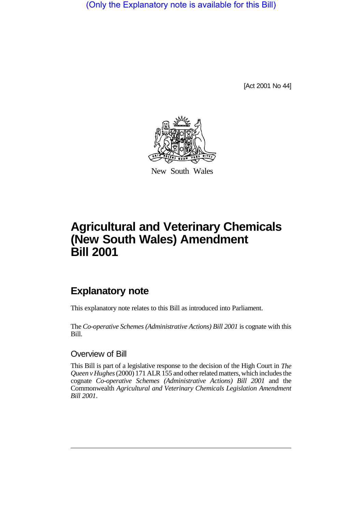(Only the Explanatory note is available for this Bill)

[Act 2001 No 44]



New South Wales

# **Agricultural and Veterinary Chemicals (New South Wales) Amendment Bill 2001**

## **Explanatory note**

This explanatory note relates to this Bill as introduced into Parliament.

The *Co-operative Schemes (Administrative Actions) Bill 2001* is cognate with this Bill.

### Overview of Bill

This Bill is part of a legislative response to the decision of the High Court in *The Queen v Hughes* (2000) 171 ALR 155 and other related matters, which includes the cognate *Co-operative Schemes (Administrative Actions) Bill 2001* and the Commonwealth *Agricultural and Veterinary Chemicals Legislation Amendment Bill 2001*.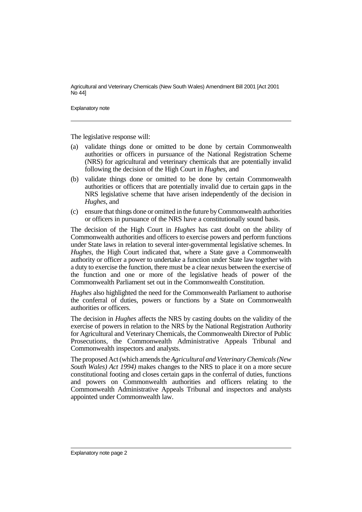Agricultural and Veterinary Chemicals (New South Wales) Amendment Bill 2001 [Act 2001 No 44]

Explanatory note

The legislative response will:

- (a) validate things done or omitted to be done by certain Commonwealth authorities or officers in pursuance of the National Registration Scheme (NRS) for agricultural and veterinary chemicals that are potentially invalid following the decision of the High Court in *Hughes*, and
- (b) validate things done or omitted to be done by certain Commonwealth authorities or officers that are potentially invalid due to certain gaps in the NRS legislative scheme that have arisen independently of the decision in *Hughes*, and
- (c) ensure that things done or omitted in the future by Commonwealth authorities or officers in pursuance of the NRS have a constitutionally sound basis.

The decision of the High Court in *Hughes* has cast doubt on the ability of Commonwealth authorities and officers to exercise powers and perform functions under State laws in relation to several inter-governmental legislative schemes. In *Hughes*, the High Court indicated that, where a State gave a Commonwealth authority or officer a power to undertake a function under State law together with a duty to exercise the function, there must be a clear nexus between the exercise of the function and one or more of the legislative heads of power of the Commonwealth Parliament set out in the Commonwealth Constitution.

*Hughes* also highlighted the need for the Commonwealth Parliament to authorise the conferral of duties, powers or functions by a State on Commonwealth authorities or officers.

The decision in *Hughes* affects the NRS by casting doubts on the validity of the exercise of powers in relation to the NRS by the National Registration Authority for Agricultural and Veterinary Chemicals, the Commonwealth Director of Public Prosecutions, the Commonwealth Administrative Appeals Tribunal and Commonwealth inspectors and analysts.

The proposed Act (which amends the *Agricultural and Veterinary Chemicals (New South Wales) Act 1994)* makes changes to the NRS to place it on a more secure constitutional footing and closes certain gaps in the conferral of duties, functions and powers on Commonwealth authorities and officers relating to the Commonwealth Administrative Appeals Tribunal and inspectors and analysts appointed under Commonwealth law.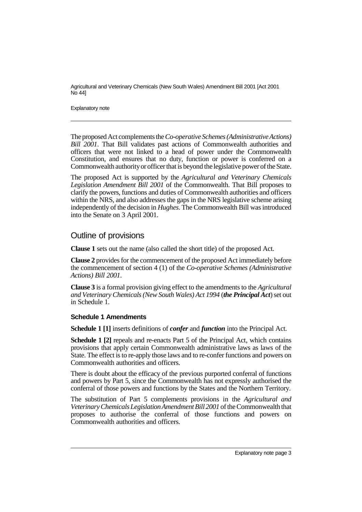Agricultural and Veterinary Chemicals (New South Wales) Amendment Bill 2001 [Act 2001 No 44]

Explanatory note

The proposed Act complements the *Co-operative Schemes (Administrative Actions) Bill 2001*. That Bill validates past actions of Commonwealth authorities and officers that were not linked to a head of power under the Commonwealth Constitution, and ensures that no duty, function or power is conferred on a Commonwealth authority or officer that is beyond the legislative power of the State.

The proposed Act is supported by the *Agricultural and Veterinary Chemicals Legislation Amendment Bill 2001* of the Commonwealth. That Bill proposes to clarify the powers, functions and duties of Commonwealth authorities and officers within the NRS, and also addresses the gaps in the NRS legislative scheme arising independently of the decision in *Hughes*. The Commonwealth Bill was introduced into the Senate on 3 April 2001.

### Outline of provisions

**Clause 1** sets out the name (also called the short title) of the proposed Act.

**Clause 2** provides for the commencement of the proposed Act immediately before the commencement of section 4 (1) of the *Co-operative Schemes (Administrative Actions) Bill 2001*.

**Clause 3** is a formal provision giving effect to the amendments to the *Agricultural and Veterinary Chemicals (New South Wales) Act 1994* (*the Principal Act*) set out in Schedule 1.

#### **Schedule 1 Amendments**

**Schedule 1 [1]** inserts definitions of *confer* and *function* into the Principal Act.

**Schedule 1 [2]** repeals and re-enacts Part 5 of the Principal Act, which contains provisions that apply certain Commonwealth administrative laws as laws of the State. The effect is to re-apply those laws and to re-confer functions and powers on Commonwealth authorities and officers.

There is doubt about the efficacy of the previous purported conferral of functions and powers by Part 5, since the Commonwealth has not expressly authorised the conferral of those powers and functions by the States and the Northern Territory.

The substitution of Part 5 complements provisions in the *Agricultural and Veterinary Chemicals Legislation Amendment Bill 2001* of the Commonwealth that proposes to authorise the conferral of those functions and powers on Commonwealth authorities and officers.